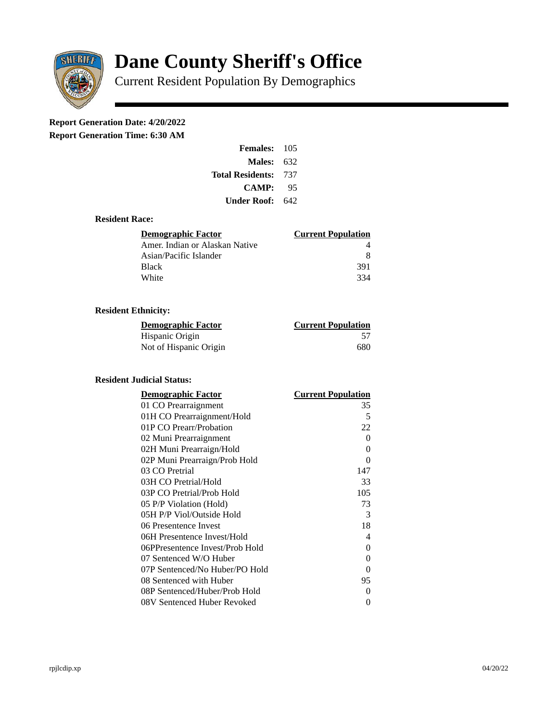

# **Dane County Sheriff's Office**

Current Resident Population By Demographics

# **Report Generation Date: 4/20/2022**

**Report Generation Time: 6:30 AM** 

| <b>Females: 105</b>     |       |
|-------------------------|-------|
| Males:                  | 632   |
| <b>Total Residents:</b> | - 737 |
| <b>CAMP:</b>            | 95    |
| Under Roof:             | 642   |

### **Resident Race:**

| Demographic Factor             | <b>Current Population</b> |
|--------------------------------|---------------------------|
| Amer. Indian or Alaskan Native |                           |
| Asian/Pacific Islander         | 8                         |
| Black                          | 391                       |
| White                          | 334                       |

# **Resident Ethnicity:**

| <u> Demographic Factor</u> | <b>Current Population</b> |
|----------------------------|---------------------------|
| Hispanic Origin            | 57                        |
| Not of Hispanic Origin     | 680                       |

#### **Resident Judicial Status:**

| <b>Demographic Factor</b>       | <b>Current Population</b> |
|---------------------------------|---------------------------|
| 01 CO Prearraignment            | 35                        |
| 01H CO Prearraignment/Hold      | 5                         |
| 01P CO Prearr/Probation         | 22                        |
| 02 Muni Prearraignment          | 0                         |
| 02H Muni Prearraign/Hold        | 0                         |
| 02P Muni Prearraign/Prob Hold   | 0                         |
| 03 CO Pretrial                  | 147                       |
| 03H CO Pretrial/Hold            | 33                        |
| 03P CO Pretrial/Prob Hold       | 105                       |
| 05 P/P Violation (Hold)         | 73                        |
| 05H P/P Viol/Outside Hold       | 3                         |
| 06 Presentence Invest           | 18                        |
| 06H Presentence Invest/Hold     | 4                         |
| 06PPresentence Invest/Prob Hold | 0                         |
| 07 Sentenced W/O Huber          | 0                         |
| 07P Sentenced/No Huber/PO Hold  | 0                         |
| 08 Sentenced with Huber         | 95                        |
| 08P Sentenced/Huber/Prob Hold   | 0                         |
| 08V Sentenced Huber Revoked     | 0                         |